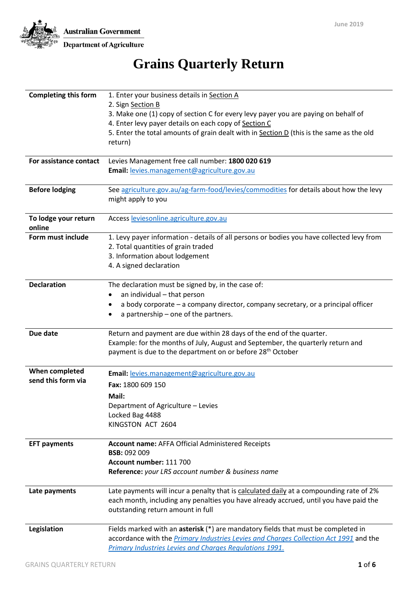**Australian Government** 



Department of Agriculture

# **Grains Quarterly Return**

| <b>Completing this form</b> | 1. Enter your business details in Section A                                               |
|-----------------------------|-------------------------------------------------------------------------------------------|
|                             | 2. Sign Section B                                                                         |
|                             | 3. Make one (1) copy of section C for every levy payer you are paying on behalf of        |
|                             | 4. Enter levy payer details on each copy of Section C                                     |
|                             | 5. Enter the total amounts of grain dealt with in Section D (this is the same as the old  |
|                             | return)                                                                                   |
|                             |                                                                                           |
| For assistance contact      | Levies Management free call number: 1800 020 619                                          |
|                             | Email: levies.management@agriculture.gov.au                                               |
| <b>Before lodging</b>       | See agriculture.gov.au/ag-farm-food/levies/commodities for details about how the levy     |
|                             | might apply to you                                                                        |
| To lodge your return        | Access leviesonline.agriculture.gov.au                                                    |
| online                      |                                                                                           |
| Form must include           | 1. Levy payer information - details of all persons or bodies you have collected levy from |
|                             | 2. Total quantities of grain traded                                                       |
|                             | 3. Information about lodgement<br>4. A signed declaration                                 |
|                             |                                                                                           |
| <b>Declaration</b>          | The declaration must be signed by, in the case of:                                        |
|                             | an individual - that person                                                               |
|                             | a body corporate - a company director, company secretary, or a principal officer          |
|                             | a partnership – one of the partners.                                                      |
| Due date                    | Return and payment are due within 28 days of the end of the quarter.                      |
|                             | Example: for the months of July, August and September, the quarterly return and           |
|                             | payment is due to the department on or before 28 <sup>th</sup> October                    |
| When completed              | Email: levies.management@agriculture.gov.au                                               |
| send this form via          | Fax: 1800 609 150                                                                         |
|                             | Mail:                                                                                     |
|                             | Department of Agriculture - Levies                                                        |
|                             | Locked Bag 4488                                                                           |
|                             | KINGSTON ACT 2604                                                                         |
|                             |                                                                                           |
| <b>EFT payments</b>         | <b>Account name: AFFA Official Administered Receipts</b>                                  |
|                             | <b>BSB: 092 009</b>                                                                       |
|                             | Account number: 111 700                                                                   |
|                             | Reference: your LRS account number & business name                                        |
| Late payments               | Late payments will incur a penalty that is calculated daily at a compounding rate of 2%   |
|                             | each month, including any penalties you have already accrued, until you have paid the     |
|                             | outstanding return amount in full                                                         |
| Legislation                 | Fields marked with an asterisk (*) are mandatory fields that must be completed in         |
|                             | accordance with the Primary Industries Levies and Charges Collection Act 1991 and the     |
|                             | Primary Industries Levies and Charges Regulations 1991.                                   |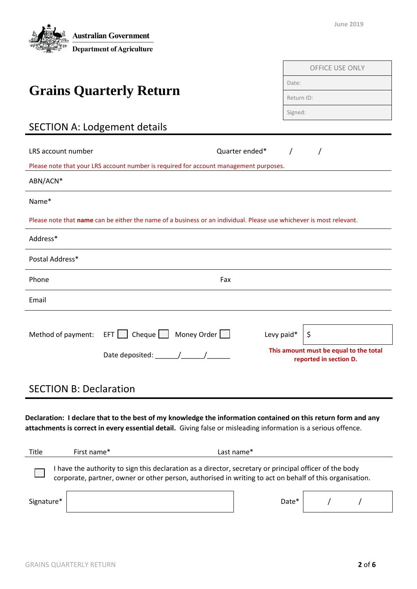

| <b>OFFICE USE ONLY</b> |
|------------------------|
| Date:                  |
| Return ID:             |
| Signed:                |

# SECTION A: Lodgement details

**Grains Quarterly Return**

| Fax                        |                                                                                                         |                                                                                                                                   |
|----------------------------|---------------------------------------------------------------------------------------------------------|-----------------------------------------------------------------------------------------------------------------------------------|
|                            |                                                                                                         |                                                                                                                                   |
| EFT   Cheque   Money Order | \$                                                                                                      | This amount must be equal to the total<br>reported in section D.                                                                  |
|                            | Quarter ended*<br>Please note that your LRS account number is required for account management purposes. | Please note that name can be either the name of a business or an individual. Please use whichever is most relevant.<br>Levy paid* |

### SECTION B: Declaration

**Declaration: I declare that to the best of my knowledge the information contained on this return form and any attachments is correct in every essential detail.** Giving false or misleading information is a serious offence.

| Title                                                                                                                                                                                                              | First name* |  | Last name* |  |  |  |
|--------------------------------------------------------------------------------------------------------------------------------------------------------------------------------------------------------------------|-------------|--|------------|--|--|--|
| I have the authority to sign this declaration as a director, secretary or principal officer of the body<br>corporate, partner, owner or other person, authorised in writing to act on behalf of this organisation. |             |  |            |  |  |  |
| Signature*                                                                                                                                                                                                         |             |  | Date*      |  |  |  |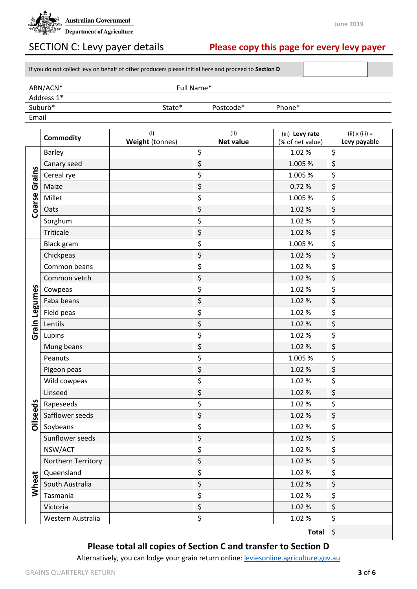

## SECTION C: Levy payer details **Please copy this page for every levy payer**

If you do not collect levy on behalf of other producers please initial here and proceed to **Section D**

| ABN/ACN*            | Full Name* |           |                    |  |
|---------------------|------------|-----------|--------------------|--|
| Address 1*          |            |           |                    |  |
| Suburb <sup>*</sup> | State*     | Postcode* | Phone <sup>*</sup> |  |

Email

|                 | <b>Commodity</b>   | (i)             | (ii)             | (iii) Levy rate           | $(ii) \times (iii) =$ |
|-----------------|--------------------|-----------------|------------------|---------------------------|-----------------------|
|                 |                    | Weight (tonnes) | <b>Net value</b> | (% of net value)<br>1.02% | Levy payable<br>\$    |
| Grains          | <b>Barley</b>      |                 | \$               |                           |                       |
|                 | Canary seed        |                 | \$               | 1.005 %                   | \$                    |
|                 | Cereal rye         |                 | \$               | 1.005 %                   | \$                    |
|                 | Maize              |                 | \$               | 0.72%                     | \$                    |
| Coarse          | Millet             |                 | \$               | 1.005 %                   | \$                    |
|                 | Oats               |                 | \$               | 1.02%                     | \$                    |
|                 | Sorghum            |                 | \$               | 1.02%                     | \$                    |
|                 | Triticale          |                 | \$               | 1.02%                     | \$                    |
|                 | <b>Black gram</b>  |                 | \$               | 1.005 %                   | \$                    |
|                 | Chickpeas          |                 | \$               | 1.02%                     | \$                    |
|                 | Common beans       |                 | \$               | 1.02%                     | \$                    |
|                 | Common vetch       |                 | \$               | 1.02%                     | \$                    |
|                 | Cowpeas            |                 | \$               | 1.02%                     | \$                    |
| Legumes         | Faba beans         |                 | \$               | 1.02%                     | \$                    |
|                 | Field peas         |                 | \$               | 1.02%                     | \$                    |
| Grain           | Lentils            |                 | \$               | 1.02%                     | \$                    |
|                 | Lupins             |                 | \$               | 1.02%                     | \$                    |
|                 | Mung beans         |                 | \$               | 1.02%                     | \$                    |
|                 | Peanuts            |                 | \$               | 1.005 %                   | \$                    |
|                 | Pigeon peas        |                 | \$               | 1.02%                     | \$                    |
|                 | Wild cowpeas       |                 | \$               | 1.02%                     | \$                    |
|                 | Linseed            |                 | \$               | 1.02%                     | \$                    |
|                 | Rapeseeds          |                 | \$               | 1.02%                     | \$                    |
| <b>Dilseeds</b> | Safflower seeds    |                 | \$               | 1.02%                     | \$                    |
|                 | Soybeans           |                 | \$               | 1.02%                     | \$                    |
|                 | Sunflower seeds    |                 | \$               | 1.02%                     | \$                    |
|                 | NSW/ACT            |                 | \$               | 1.02%                     | \$                    |
|                 | Northern Territory |                 | \$               | 1.02%                     | \$                    |
|                 | Queensland         |                 | \$               | 1.02%                     | \$                    |
| Wheat           | South Australia    |                 | \$               | 1.02%                     | \$                    |
|                 | Tasmania           |                 | \$               | 1.02%                     | \$                    |
|                 | Victoria           |                 | \$               | 1.02%                     | \$                    |
|                 | Western Australia  |                 | \$               | 1.02%                     | \$                    |
|                 |                    |                 |                  |                           |                       |

**Total** \$

#### **Please total all copies of Section C and transfer to Section D**

Alternatively, you can lodge your grain return online[: leviesonline.agriculture.gov.au](https://leviesonline.agriculture.gov.au/)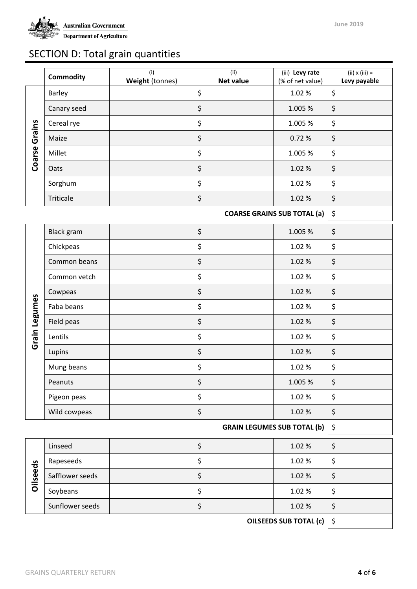

## SECTION D: Total grain quantities

|                      | <b>Commodity</b>              | (i)<br>Weight (tonnes) | (ii)<br><b>Net value</b> | (iii) Levy rate<br>(% of net value) | $(ii) \times (iii) =$<br>Levy payable |
|----------------------|-------------------------------|------------------------|--------------------------|-------------------------------------|---------------------------------------|
|                      | Barley                        |                        | \$                       | 1.02%                               | \$                                    |
|                      | Canary seed                   |                        | \$                       | 1.005 %                             | \$                                    |
|                      | Cereal rye                    |                        | \$                       | 1.005 %                             | \$                                    |
| <b>Coarse Grains</b> | Maize                         |                        | \$                       | 0.72%                               | \$                                    |
|                      | Millet                        |                        | \$                       | 1.005 %                             | \$                                    |
|                      | Oats                          |                        | \$                       | 1.02%                               | \$                                    |
|                      | Sorghum                       |                        | \$                       | 1.02%                               | \$                                    |
|                      | Triticale                     |                        | \$                       | 1.02%                               | \$                                    |
|                      |                               |                        |                          | <b>COARSE GRAINS SUB TOTAL (a)</b>  | \$                                    |
|                      | <b>Black gram</b>             |                        | \$                       | 1.005 %                             | \$                                    |
|                      | Chickpeas                     |                        | \$                       | 1.02%                               | \$                                    |
|                      | Common beans                  |                        | \$                       | 1.02%                               | \$                                    |
|                      | Common vetch                  |                        | \$                       | 1.02%                               | \$                                    |
|                      | Cowpeas                       |                        | \$                       | 1.02%                               | \$                                    |
|                      | Faba beans                    |                        | \$                       | 1.02%                               | \$                                    |
|                      | Field peas                    |                        | \$                       | 1.02%                               | \$                                    |
| Grain Legumes        | Lentils                       |                        | \$                       | 1.02%                               | \$                                    |
|                      | Lupins                        |                        | \$                       | 1.02%                               | \$                                    |
|                      | Mung beans                    |                        | \$                       | 1.02%                               | \$                                    |
|                      | Peanuts                       |                        | \$                       | 1.005 %                             | \$                                    |
|                      | Pigeon peas                   |                        | \$                       | 1.02%                               | \$                                    |
|                      | Wild cowpeas                  |                        | \$                       | 1.02%                               | \$                                    |
|                      |                               |                        |                          | <b>GRAIN LEGUMES SUB TOTAL (b)</b>  | \$                                    |
|                      | Linseed                       |                        | \$                       | 1.02%                               | \$                                    |
|                      | Rapeseeds                     |                        | \$                       | 1.02%                               | \$                                    |
| <b>Oilseeds</b>      | Safflower seeds               |                        | \$                       | 1.02%                               | \$                                    |
|                      | Soybeans                      |                        | \$                       | 1.02%                               | \$                                    |
|                      | Sunflower seeds               |                        | \$                       | 1.02%                               | \$                                    |
|                      | <b>OILSEEDS SUB TOTAL (c)</b> |                        |                          | \$                                  |                                       |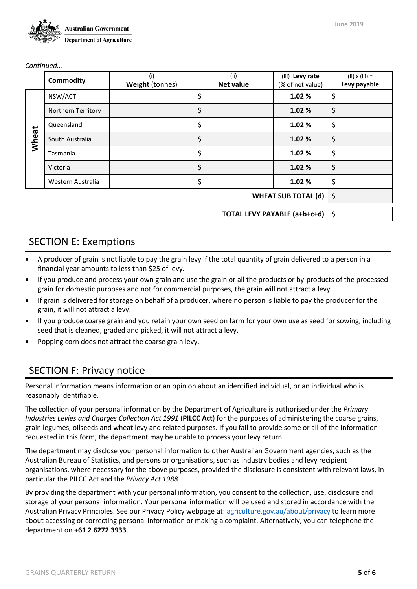

*Continued…*

|                              | <b>Commodity</b>   | (i)<br>Weight (tonnes) | (ii)<br><b>Net value</b> | (iii) Levy rate<br>(% of net value) | $(ii) \times (iii) =$<br>Levy payable |
|------------------------------|--------------------|------------------------|--------------------------|-------------------------------------|---------------------------------------|
|                              | NSW/ACT            |                        | \$                       | 1.02%                               | \$                                    |
|                              | Northern Territory |                        | \$                       | 1.02%                               | \$                                    |
|                              | Queensland         |                        | \$                       | 1.02%                               | \$                                    |
| Wheat                        | South Australia    |                        | \$                       | 1.02%                               | \$                                    |
|                              | Tasmania           |                        | \$                       | 1.02%                               | \$                                    |
|                              | Victoria           |                        | \$                       | 1.02%                               | \$                                    |
|                              | Western Australia  |                        | \$                       | 1.02%                               | \$                                    |
| <b>WHEAT SUB TOTAL (d)</b>   |                    |                        |                          | $\zeta$                             |                                       |
| TOTAL LEVY PAYABLE (a+b+c+d) |                    |                        |                          | ∣\$                                 |                                       |

#### SECTION E: Exemptions

- A producer of grain is not liable to pay the grain levy if the total quantity of grain delivered to a person in a financial year amounts to less than \$25 of levy.
- If you produce and process your own grain and use the grain or all the products or by-products of the processed grain for domestic purposes and not for commercial purposes, the grain will not attract a levy.
- If grain is delivered for storage on behalf of a producer, where no person is liable to pay the producer for the grain, it will not attract a levy.
- If you produce coarse grain and you retain your own seed on farm for your own use as seed for sowing, including seed that is cleaned, graded and picked, it will not attract a levy.
- Popping corn does not attract the coarse grain levy.

#### SECTION F: Privacy notice

Personal information means information or an opinion about an identified individual, or an individual who is reasonably identifiable.

The collection of your personal information by the Department of Agriculture is authorised under the *Primary Industries Levies and Charges Collection Act 1991* (**PILCC Act**) for the purposes of administering the coarse grains, grain legumes, oilseeds and wheat levy and related purposes. If you fail to provide some or all of the information requested in this form, the department may be unable to process your levy return.

The department may disclose your personal information to other Australian Government agencies, such as the Australian Bureau of Statistics, and persons or organisations, such as industry bodies and levy recipient organisations, where necessary for the above purposes, provided the disclosure is consistent with relevant laws, in particular the PILCC Act and the *Privacy Act 1988*.

By providing the department with your personal information, you consent to the collection, use, disclosure and storage of your personal information. Your personal information will be used and stored in accordance with the Australian Privacy Principles. See our Privacy Policy webpage at[: agriculture.gov.au/about/privacy](http://www.agriculture.gov.au/about/privacy) to learn more about accessing or correcting personal information or making a complaint. Alternatively, you can telephone the department on **+61 2 6272 3933**.